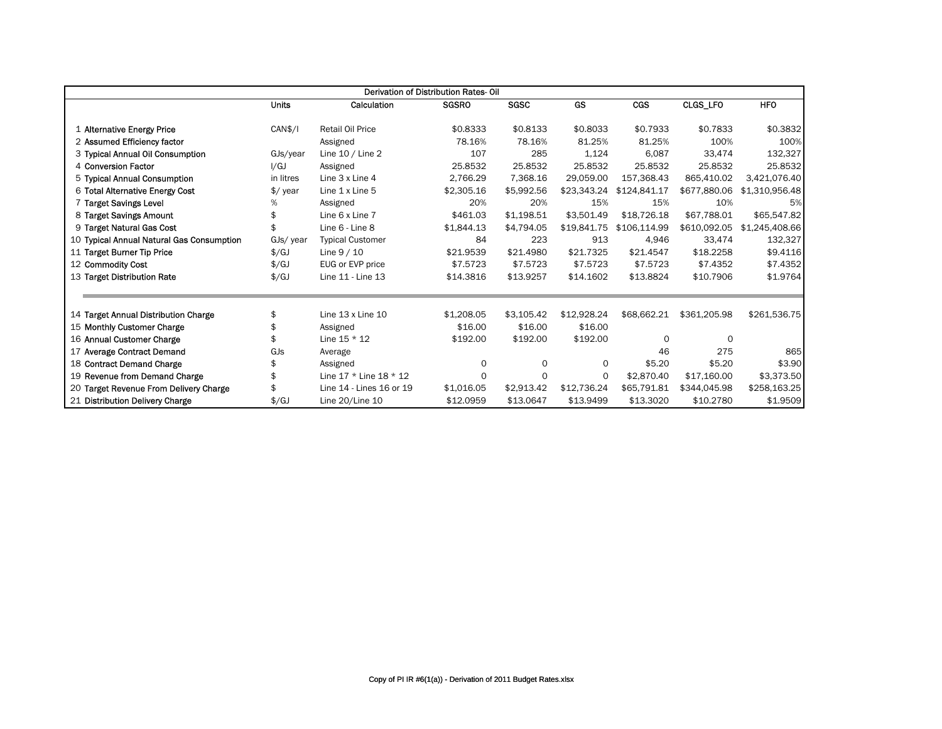| Derivation of Distribution Rates-Oil      |                      |                          |              |             |             |              |              |                |
|-------------------------------------------|----------------------|--------------------------|--------------|-------------|-------------|--------------|--------------|----------------|
|                                           | Units                | Calculation              | <b>SGSRO</b> | <b>SGSC</b> | <b>GS</b>   | <b>CGS</b>   | CLGS_LFO     | <b>HFO</b>     |
| 1 Alternative Energy Price                | CAN\$/I              | <b>Retail Oil Price</b>  | \$0.8333     | \$0.8133    | \$0.8033    | \$0.7933     | \$0.7833     | \$0.3832       |
| 2 Assumed Efficiency factor               |                      | Assigned                 | 78.16%       | 78.16%      | 81.25%      | 81.25%       | 100%         | 100%           |
| 3 Typical Annual Oil Consumption          | GJs/year             | Line $10 /$ Line 2       | 107          | 285         | 1,124       | 6.087        | 33.474       | 132,327        |
| 4 Conversion Factor                       | I/GJ                 | Assigned                 | 25.8532      | 25.8532     | 25.8532     | 25.8532      | 25.8532      | 25.8532        |
| 5 Typical Annual Consumption              | in litres            | Line 3 x Line 4          | 2,766.29     | 7,368.16    | 29.059.00   | 157.368.43   | 865.410.02   | 3,421,076.40   |
| 6 Total Alternative Energy Cost           | $\frac{1}{2}$ / year | Line $1x$ Line $5$       | \$2,305.16   | \$5,992.56  | \$23,343.24 | \$124,841.17 | \$677,880.06 | \$1,310,956.48 |
| 7 Target Savings Level                    | %                    | Assigned                 | 20%          | 20%         | 15%         | 15%          | 10%          | 5%             |
| 8 Target Savings Amount                   |                      | Line 6 x Line 7          | \$461.03     | \$1,198.51  | \$3,501.49  | \$18,726.18  | \$67,788.01  | \$65,547.82    |
| 9 Target Natural Gas Cost                 |                      | Line 6 - Line 8          | \$1,844.13   | \$4,794.05  | \$19,841.75 | \$106,114.99 | \$610,092.05 | \$1,245,408.66 |
| 10 Typical Annual Natural Gas Consumption | GJs/year             | <b>Typical Customer</b>  | 84           | 223         | 913         | 4,946        | 33,474       | 132,327        |
| 11 Target Burner Tip Price                | $\frac{f}{f}$        | Line $9/10$              | \$21.9539    | \$21,4980   | \$21.7325   | \$21.4547    | \$18,2258    | \$9.4116       |
| 12 Commodity Cost                         | $\frac{f}{g}$        | EUG or EVP price         | \$7.5723     | \$7.5723    | \$7.5723    | \$7.5723     | \$7.4352     | \$7.4352       |
| 13 Target Distribution Rate               | $\frac{f}{f}$        | Line 11 - Line 13        | \$14.3816    | \$13.9257   | \$14.1602   | \$13.8824    | \$10.7906    | \$1.9764       |
|                                           |                      |                          |              |             |             |              |              |                |
| 14 Target Annual Distribution Charge      |                      | Line 13 x Line 10        | \$1,208.05   | \$3,105.42  | \$12,928.24 | \$68,662.21  | \$361,205.98 | \$261,536.75   |
| 15 Monthly Customer Charge                |                      | Assigned                 | \$16.00      | \$16.00     | \$16.00     |              |              |                |
| 16 Annual Customer Charge                 |                      | Line $15 * 12$           | \$192.00     | \$192.00    | \$192.00    | $\Omega$     | $\Omega$     |                |
| 17 Average Contract Demand                | GJs                  | Average                  |              |             |             | 46           | 275          | 865            |
| 18 Contract Demand Charge                 |                      | Assigned                 | 0            | $\Omega$    | 0           | \$5.20       | \$5.20       | \$3.90         |
| 19 Revenue from Demand Charge             |                      | Line 17 * Line 18 * 12   | 0            | $\Omega$    | 0           | \$2,870.40   | \$17,160.00  | \$3,373.50     |
| 20 Target Revenue From Delivery Charge    |                      | Line 14 - Lines 16 or 19 | \$1,016.05   | \$2,913.42  | \$12,736.24 | \$65,791.81  | \$344,045.98 | \$258,163.25   |
| 21 Distribution Delivery Charge           | $\frac{f}{g}$        | Line 20/Line 10          | \$12.0959    | \$13.0647   | \$13.9499   | \$13.3020    | \$10.2780    | \$1.9509       |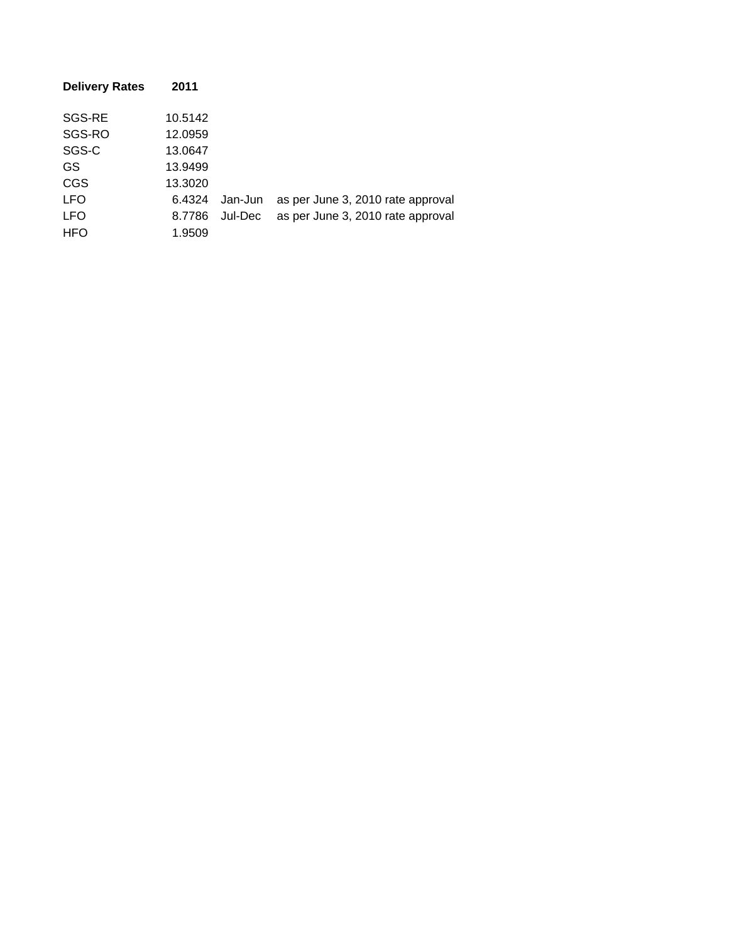| <b>Delivery Rates</b> | 2011    |         |                                   |
|-----------------------|---------|---------|-----------------------------------|
|                       |         |         |                                   |
| SGS-RE                | 10.5142 |         |                                   |
| SGS-RO                | 12.0959 |         |                                   |
| SGS-C                 | 13.0647 |         |                                   |
| GS.                   | 13.9499 |         |                                   |
| <b>CGS</b>            | 13.3020 |         |                                   |
| <b>LFO</b>            | 6.4324  | Jan-Jun | as per June 3, 2010 rate approval |
| <b>LFO</b>            | 8.7786  | Jul-Dec | as per June 3, 2010 rate approval |
| <b>HFO</b>            | 1.9509  |         |                                   |
|                       |         |         |                                   |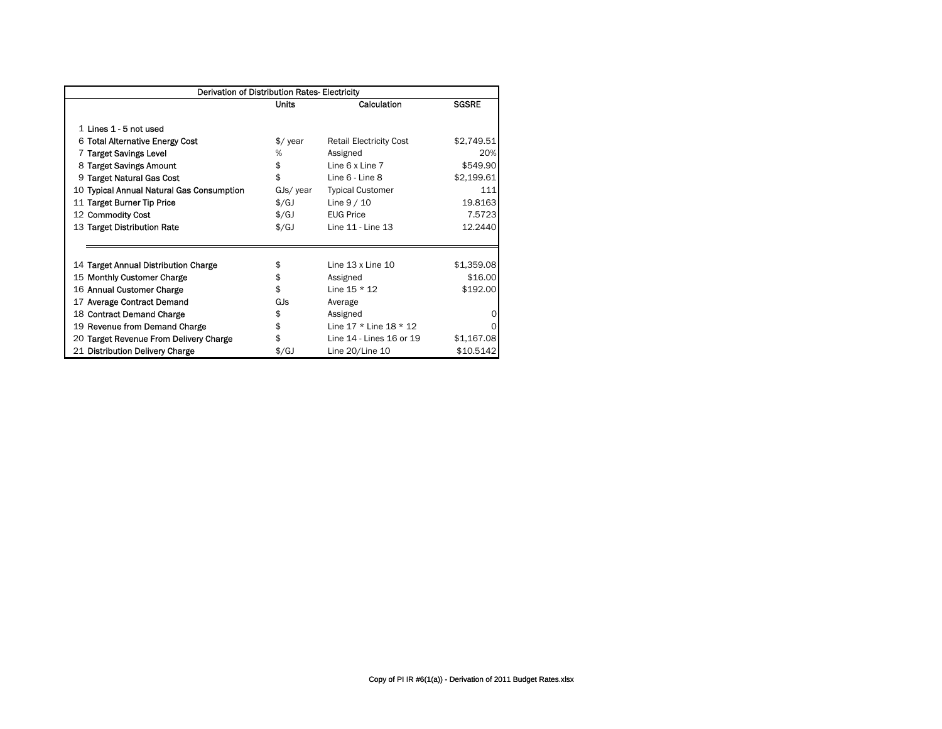| Derivation of Distribution Rates- Electricity |               |                                |              |
|-----------------------------------------------|---------------|--------------------------------|--------------|
|                                               | Units         | Calculation                    | <b>SGSRE</b> |
|                                               |               |                                |              |
| 1 Lines 1 - 5 not used                        |               |                                |              |
| 6 Total Alternative Energy Cost               | \$/ year      | <b>Retail Electricity Cost</b> | \$2,749.51   |
| 7 Target Savings Level                        | %             | Assigned                       | 20%          |
| 8 Target Savings Amount                       | \$            | Line 6 x Line 7                | \$549.90     |
| 9 Target Natural Gas Cost                     | \$            | Line 6 - Line 8                | \$2,199.61   |
| 10 Typical Annual Natural Gas Consumption     | GJs/ year     | <b>Typical Customer</b>        | 111          |
| 11 Target Burner Tip Price                    | $\frac{1}{2}$ | Line $9/10$                    | 19.8163      |
| 12 Commodity Cost                             | $\frac{f}{f}$ | <b>EUG Price</b>               | 7.5723       |
| 13 Target Distribution Rate                   | $\frac{f}{f}$ | Line 11 - Line 13              | 12.2440      |
|                                               |               |                                |              |
|                                               |               |                                |              |
| 14 Target Annual Distribution Charge          | \$            | Line $13 \times$ Line $10$     | \$1,359.08   |
| 15 Monthly Customer Charge                    | \$            | Assigned                       | \$16.00      |
| 16 Annual Customer Charge                     | \$            | Line $15 * 12$                 | \$192.00     |
| 17 Average Contract Demand                    | GJs           | Average                        |              |
| 18 Contract Demand Charge                     | \$            | Assigned                       |              |
| 19 Revenue from Demand Charge                 | \$            | Line $17 *$ Line $18 * 12$     |              |
| 20 Target Revenue From Delivery Charge        | \$            | Line 14 - Lines 16 or 19       | \$1,167.08   |
| 21 Distribution Delivery Charge               | $\frac{1}{2}$ | Line 20/Line 10                | \$10.5142    |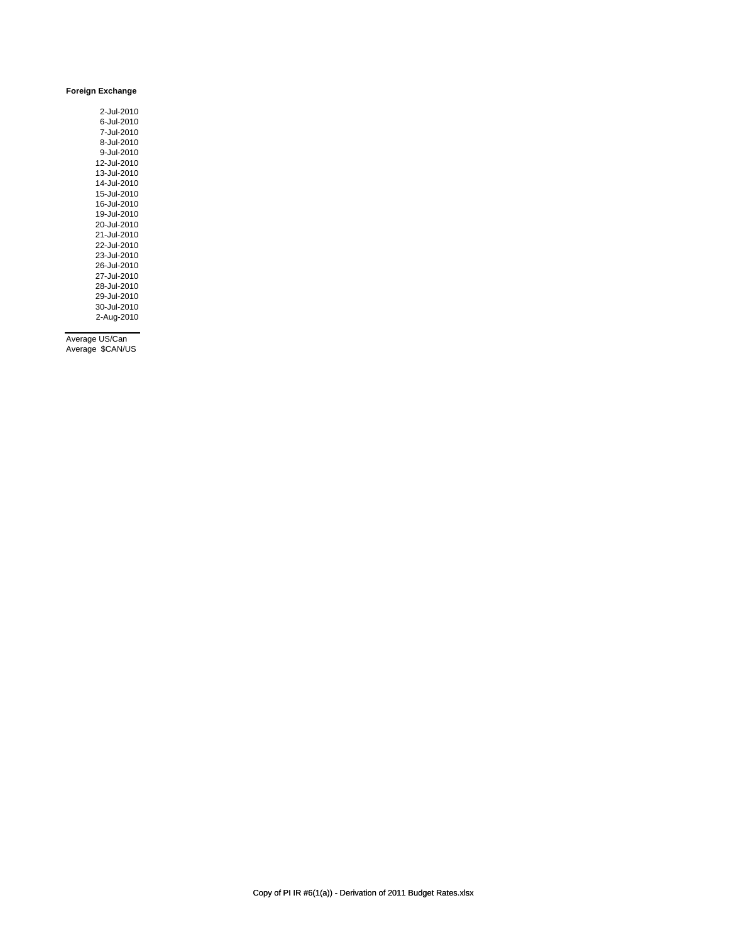#### **Foreign Exchange**

| 2-Jul-2010  |
|-------------|
| 6-Jul-2010  |
| 7-Jul-2010  |
| 8-Jul-2010  |
| 9-Jul-2010  |
|             |
| 12-Jul-2010 |
| 13-Jul-2010 |
| 14-Jul-2010 |
| 15-Jul-2010 |
| 16-Jul-2010 |
| 19-Jul-2010 |
| 20-Jul-2010 |
| 21-Jul-2010 |
| 22-Jul-2010 |
| 23-Jul-2010 |
| 26-Jul-2010 |
| 27-Jul-2010 |
| 28-Jul-2010 |
| 29-Jul-2010 |
| 30-Jul-2010 |
| 2-Aug-2010  |

Average US/Can Average \$CAN/US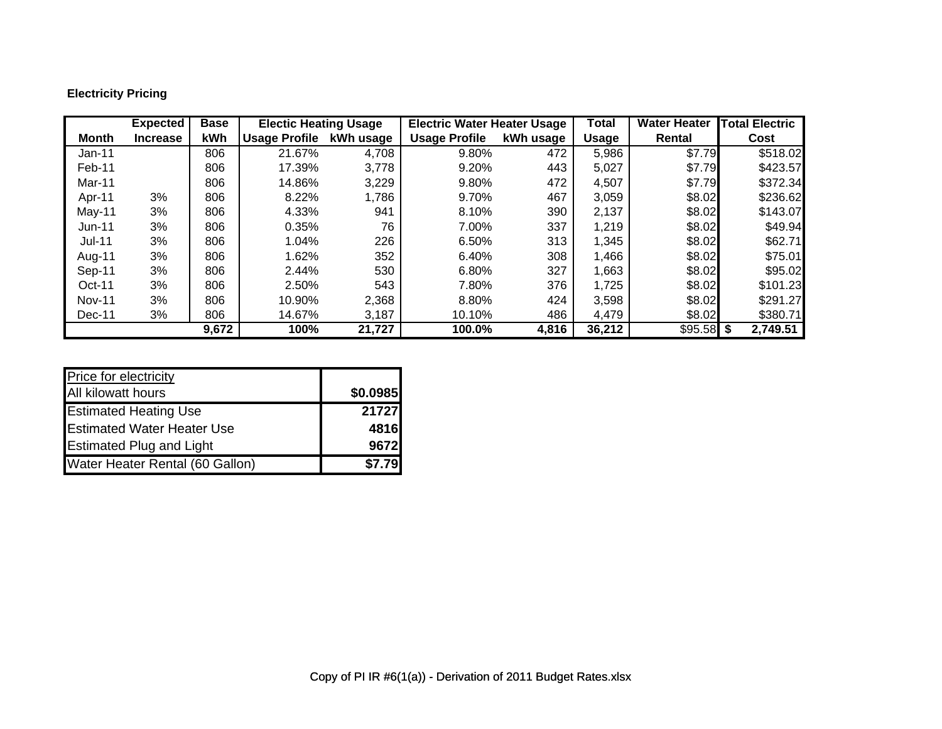## **Electricity Pricing**

|               | <b>Expected</b> | <b>Base</b> | <b>Electic Heating Usage</b> |           | <b>Electric Water Heater Usage</b> |           | Total        | <b>Water Heater</b> | <b>Total Electric</b> |
|---------------|-----------------|-------------|------------------------------|-----------|------------------------------------|-----------|--------------|---------------------|-----------------------|
| Month         | <b>Increase</b> | kWh         | Usage Profile                | kWh usage | <b>Usage Profile</b>               | kWh usage | <b>Usage</b> | Rental              | Cost                  |
| $Jan-11$      |                 | 806         | 21.67%                       | 4,708     | 9.80%                              | 472       | 5,986        | \$7.79              | \$518.02              |
| Feb-11        |                 | 806         | 17.39%                       | 3,778     | 9.20%                              | 443       | 5,027        | \$7.79              | \$423.57              |
| Mar-11        |                 | 806         | 14.86%                       | 3,229     | 9.80%                              | 472       | 4,507        | \$7.79              | \$372.34              |
| Apr-11        | 3%              | 806         | 8.22%                        | 1,786     | 9.70%                              | 467       | 3,059        | \$8.02              | \$236.62              |
| May-11        | 3%              | 806         | 4.33%                        | 941       | 8.10%                              | 390       | 2,137        | \$8.02              | \$143.07              |
| Jun-11        | 3%              | 806         | 0.35%                        | 76        | 7.00%                              | 337       | 1,219        | \$8.02              | \$49.94               |
| <b>Jul-11</b> | 3%              | 806         | 1.04%                        | 226       | 6.50%                              | 313       | 1,345        | \$8.02              | \$62.71               |
| Aug-11        | 3%              | 806         | 1.62%                        | 352       | 6.40%                              | 308       | 1,466        | \$8.02              | \$75.01               |
| Sep-11        | 3%              | 806         | 2.44%                        | 530       | 6.80%                              | 327       | 1,663        | \$8.02              | \$95.02               |
| $Oct-11$      | 3%              | 806         | 2.50%                        | 543       | 7.80%                              | 376       | 1,725        | \$8.02              | \$101.23              |
| <b>Nov-11</b> | 3%              | 806         | 10.90%                       | 2,368     | 8.80%                              | 424       | 3,598        | \$8.02              | \$291.27              |
| Dec-11        | 3%              | 806         | 14.67%                       | 3,187     | 10.10%                             | 486       | 4,479        | \$8.02              | \$380.71              |
|               |                 | 9,672       | 100%                         | 21,727    | 100.0%                             | 4,816     | 36,212       | $$95.58$ \$         | 2,749.51              |

| Price for electricity             |          |
|-----------------------------------|----------|
| All kilowatt hours                | \$0.0985 |
| <b>Estimated Heating Use</b>      | 21727    |
| <b>Estimated Water Heater Use</b> | 4816     |
| <b>Estimated Plug and Light</b>   | 9672     |
| Water Heater Rental (60 Gallon)   | \$7.79   |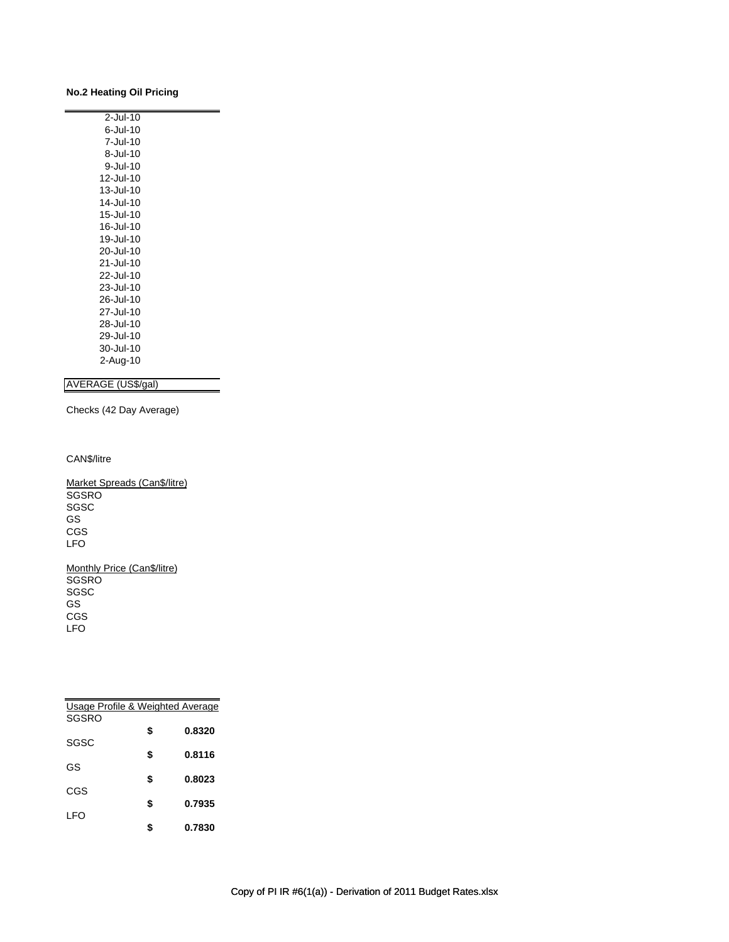#### **No.2 Heating Oil Pricing**

| $2$ -Jul-10 |
|-------------|
| 6-Jul-10    |
| 7-Jul-10    |
| 8-Jul-10    |
| 9-Jul-10    |
| 12-Jul-10   |
| 13-Jul-10   |
| 14-Jul-10   |
| 15-Jul-10   |
| 16-Jul-10   |
| 19-Jul-10   |
| 20-Jul-10   |
| 21-Jul-10   |
| 22-Jul-10   |
| 23-Jul-10   |
| 26-Jul-10   |
| 27-Jul-10   |
| 28-Jul-10   |
| 29-Jul-10   |
| 30-Jul-10   |
| 2-Aug-10    |
|             |

AVERAGE (US\$/gal)

Checks (42 Day Average)

CAN\$/litre

Market Spreads (Can\$/litre) **SGSRO** SGSC GS CGS LFO

Monthly Price (Can\$/litre) SGSRO SGSC GS CGS LFO

| Usage Profile & Weighted Average |    |        |
|----------------------------------|----|--------|
| SGSRO                            |    |        |
|                                  | \$ | 0.8320 |
| SGSC                             |    |        |
|                                  | \$ | 0.8116 |
| GS                               |    |        |
|                                  | \$ | 0.8023 |
| CGS                              |    | 0.7935 |
| I FO                             | \$ |        |
|                                  | Ŧ  | 0.7830 |
|                                  |    |        |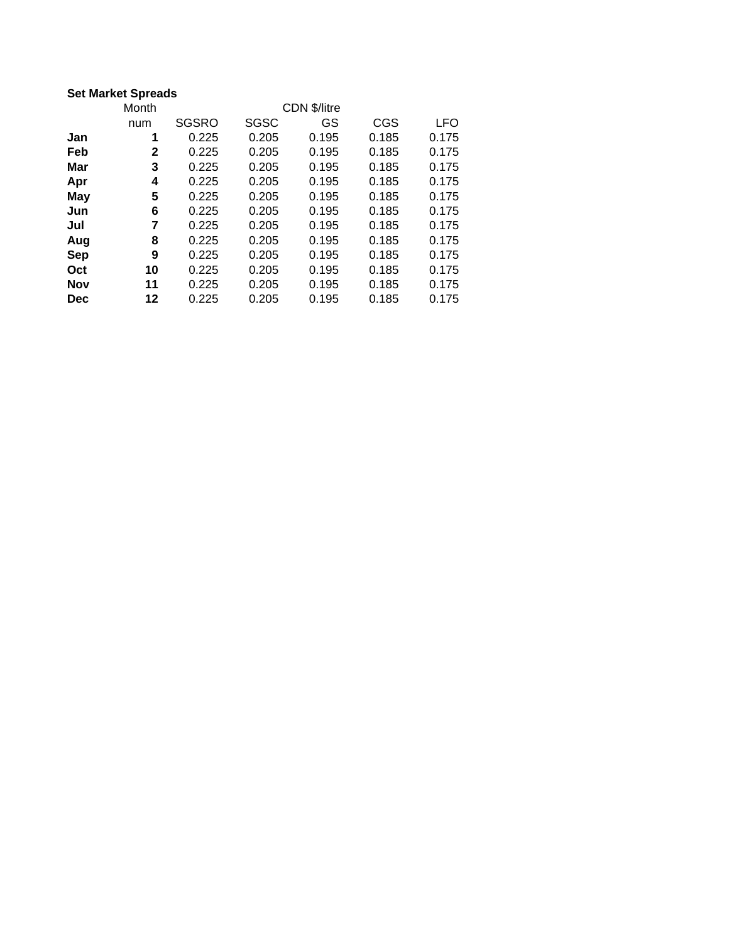### **Set Market Spreads**

|            | Month | CDN \$/litre |             |       |       |       |  |  |  |  |  |  |
|------------|-------|--------------|-------------|-------|-------|-------|--|--|--|--|--|--|
|            | num   | <b>SGSRO</b> | <b>SGSC</b> | GS    | CGS   | LFO   |  |  |  |  |  |  |
| Jan        | 1     | 0.225        | 0.205       | 0.195 | 0.185 | 0.175 |  |  |  |  |  |  |
| Feb        | 2     | 0.225        | 0.205       | 0.195 | 0.185 | 0.175 |  |  |  |  |  |  |
| Mar        | 3     | 0.225        | 0.205       | 0.195 | 0.185 | 0.175 |  |  |  |  |  |  |
| Apr        | 4     | 0.225        | 0.205       | 0.195 | 0.185 | 0.175 |  |  |  |  |  |  |
| <b>May</b> | 5     | 0.225        | 0.205       | 0.195 | 0.185 | 0.175 |  |  |  |  |  |  |
| Jun        | 6     | 0.225        | 0.205       | 0.195 | 0.185 | 0.175 |  |  |  |  |  |  |
| Jul        | 7     | 0.225        | 0.205       | 0.195 | 0.185 | 0.175 |  |  |  |  |  |  |
| Aug        | 8     | 0.225        | 0.205       | 0.195 | 0.185 | 0.175 |  |  |  |  |  |  |
| <b>Sep</b> | 9     | 0.225        | 0.205       | 0.195 | 0.185 | 0.175 |  |  |  |  |  |  |
| Oct        | 10    | 0.225        | 0.205       | 0.195 | 0.185 | 0.175 |  |  |  |  |  |  |
| <b>Nov</b> | 11    | 0.225        | 0.205       | 0.195 | 0.185 | 0.175 |  |  |  |  |  |  |
| <b>Dec</b> | 12    | 0.225        | 0.205       | 0.195 | 0.185 | 0.175 |  |  |  |  |  |  |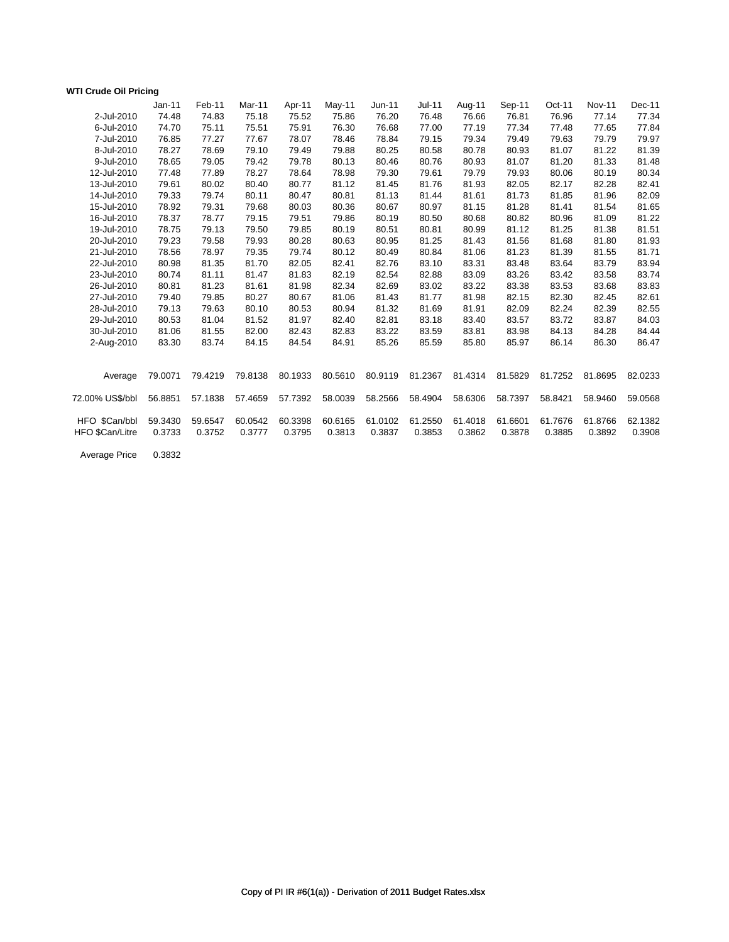#### **WTI Crude Oil Pricing**

|                 | Jan-11  | Feb-11  | Mar-11  | Apr-11  | May-11  | Jun-11  | Jul-11  | Aug-11  | Sep-11  | Oct-11  | <b>Nov-11</b> | Dec-11  |
|-----------------|---------|---------|---------|---------|---------|---------|---------|---------|---------|---------|---------------|---------|
| 2-Jul-2010      | 74.48   | 74.83   | 75.18   | 75.52   | 75.86   | 76.20   | 76.48   | 76.66   | 76.81   | 76.96   | 77.14         | 77.34   |
| 6-Jul-2010      | 74.70   | 75.11   | 75.51   | 75.91   | 76.30   | 76.68   | 77.00   | 77.19   | 77.34   | 77.48   | 77.65         | 77.84   |
| 7-Jul-2010      | 76.85   | 77.27   | 77.67   | 78.07   | 78.46   | 78.84   | 79.15   | 79.34   | 79.49   | 79.63   | 79.79         | 79.97   |
| 8-Jul-2010      | 78.27   | 78.69   | 79.10   | 79.49   | 79.88   | 80.25   | 80.58   | 80.78   | 80.93   | 81.07   | 81.22         | 81.39   |
| 9-Jul-2010      | 78.65   | 79.05   | 79.42   | 79.78   | 80.13   | 80.46   | 80.76   | 80.93   | 81.07   | 81.20   | 81.33         | 81.48   |
| 12-Jul-2010     | 77.48   | 77.89   | 78.27   | 78.64   | 78.98   | 79.30   | 79.61   | 79.79   | 79.93   | 80.06   | 80.19         | 80.34   |
| 13-Jul-2010     | 79.61   | 80.02   | 80.40   | 80.77   | 81.12   | 81.45   | 81.76   | 81.93   | 82.05   | 82.17   | 82.28         | 82.41   |
| 14-Jul-2010     | 79.33   | 79.74   | 80.11   | 80.47   | 80.81   | 81.13   | 81.44   | 81.61   | 81.73   | 81.85   | 81.96         | 82.09   |
| 15-Jul-2010     | 78.92   | 79.31   | 79.68   | 80.03   | 80.36   | 80.67   | 80.97   | 81.15   | 81.28   | 81.41   | 81.54         | 81.65   |
| 16-Jul-2010     | 78.37   | 78.77   | 79.15   | 79.51   | 79.86   | 80.19   | 80.50   | 80.68   | 80.82   | 80.96   | 81.09         | 81.22   |
| 19-Jul-2010     | 78.75   | 79.13   | 79.50   | 79.85   | 80.19   | 80.51   | 80.81   | 80.99   | 81.12   | 81.25   | 81.38         | 81.51   |
| 20-Jul-2010     | 79.23   | 79.58   | 79.93   | 80.28   | 80.63   | 80.95   | 81.25   | 81.43   | 81.56   | 81.68   | 81.80         | 81.93   |
| 21-Jul-2010     | 78.56   | 78.97   | 79.35   | 79.74   | 80.12   | 80.49   | 80.84   | 81.06   | 81.23   | 81.39   | 81.55         | 81.71   |
| 22-Jul-2010     | 80.98   | 81.35   | 81.70   | 82.05   | 82.41   | 82.76   | 83.10   | 83.31   | 83.48   | 83.64   | 83.79         | 83.94   |
| 23-Jul-2010     | 80.74   | 81.11   | 81.47   | 81.83   | 82.19   | 82.54   | 82.88   | 83.09   | 83.26   | 83.42   | 83.58         | 83.74   |
| 26-Jul-2010     | 80.81   | 81.23   | 81.61   | 81.98   | 82.34   | 82.69   | 83.02   | 83.22   | 83.38   | 83.53   | 83.68         | 83.83   |
| 27-Jul-2010     | 79.40   | 79.85   | 80.27   | 80.67   | 81.06   | 81.43   | 81.77   | 81.98   | 82.15   | 82.30   | 82.45         | 82.61   |
| 28-Jul-2010     | 79.13   | 79.63   | 80.10   | 80.53   | 80.94   | 81.32   | 81.69   | 81.91   | 82.09   | 82.24   | 82.39         | 82.55   |
| 29-Jul-2010     | 80.53   | 81.04   | 81.52   | 81.97   | 82.40   | 82.81   | 83.18   | 83.40   | 83.57   | 83.72   | 83.87         | 84.03   |
| 30-Jul-2010     | 81.06   | 81.55   | 82.00   | 82.43   | 82.83   | 83.22   | 83.59   | 83.81   | 83.98   | 84.13   | 84.28         | 84.44   |
| 2-Aug-2010      | 83.30   | 83.74   | 84.15   | 84.54   | 84.91   | 85.26   | 85.59   | 85.80   | 85.97   | 86.14   | 86.30         | 86.47   |
|                 |         |         |         |         |         |         |         |         |         |         |               |         |
| Average         | 79.0071 | 79.4219 | 79.8138 | 80.1933 | 80.5610 | 80.9119 | 81.2367 | 81.4314 | 81.5829 | 81.7252 | 81.8695       | 82.0233 |
| 72.00% US\$/bbl | 56.8851 | 57.1838 | 57.4659 | 57.7392 | 58.0039 | 58.2566 | 58.4904 | 58.6306 | 58.7397 | 58.8421 | 58.9460       | 59.0568 |
| HFO \$Can/bbl   | 59.3430 | 59.6547 | 60.0542 | 60.3398 | 60.6165 | 61.0102 | 61.2550 | 61.4018 | 61.6601 | 61.7676 | 61.8766       | 62.1382 |
| HFO \$Can/Litre | 0.3733  | 0.3752  | 0.3777  | 0.3795  | 0.3813  | 0.3837  | 0.3853  | 0.3862  | 0.3878  | 0.3885  | 0.3892        | 0.3908  |
|                 |         |         |         |         |         |         |         |         |         |         |               |         |

Average Price 0.3832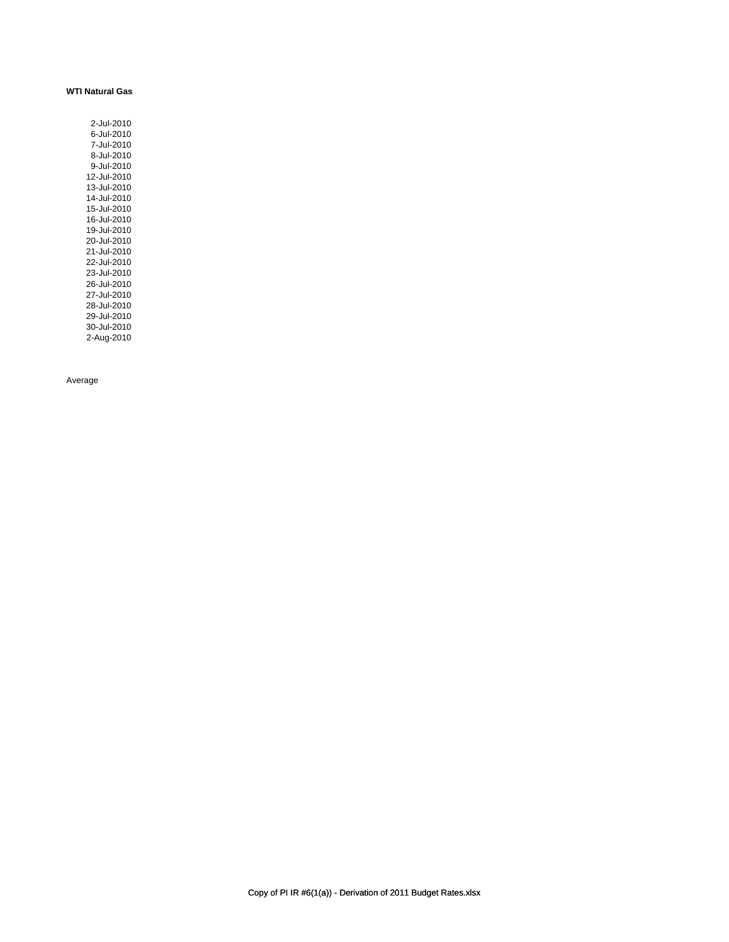#### **WTI Natural Gas**

| 2-Jul-2010  |
|-------------|
| 6-Jul-2010  |
| 7-Jul-2010  |
| 8-Jul-2010  |
| 9-Jul-2010  |
| 12-Jul-2010 |
| 13-Jul-2010 |
| 14-Jul-2010 |
|             |
| 15-Jul-2010 |
| 16-Jul-2010 |
| 19-Jul-2010 |
| 20-Jul-2010 |
| 21-Jul-2010 |
| 22-Jul-2010 |
| 23-Jul-2010 |
| 26-Jul-2010 |
| 27-Jul-2010 |
|             |
| 28-Jul-2010 |
| 29-Jul-2010 |
| 30-Jul-2010 |
| 2-Aug-2010  |

Average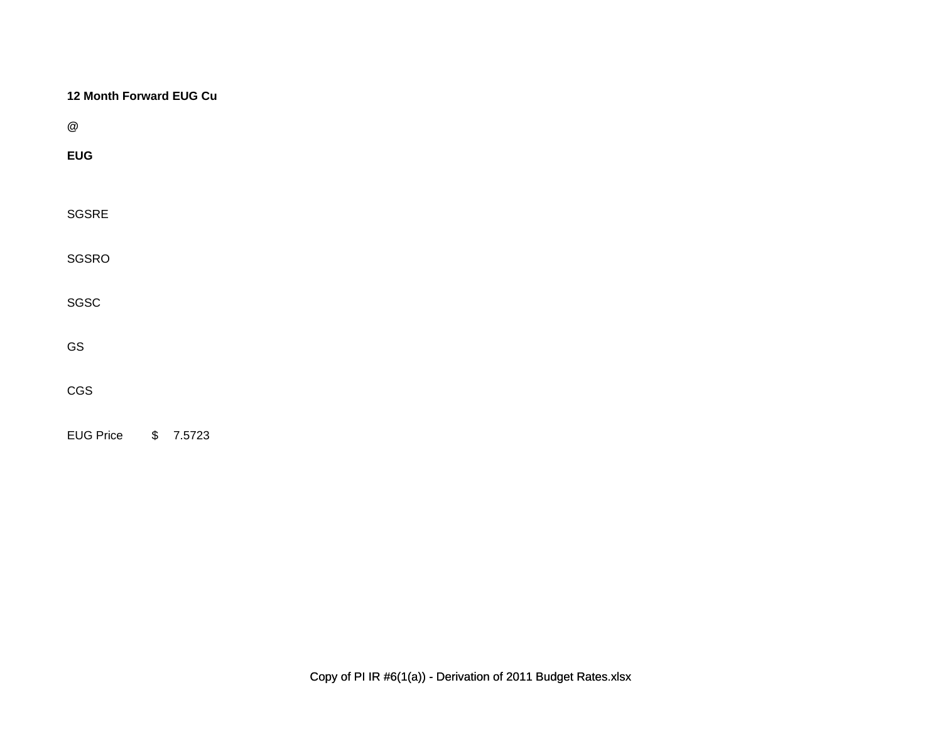| 12 Month Forward EUG Cu           |        |
|-----------------------------------|--------|
| @                                 |        |
| <b>EUG</b>                        |        |
|                                   |        |
| <b>SGSRE</b>                      |        |
| SGSRO                             |        |
| SGSC                              |        |
| GS                                |        |
| CGS                               |        |
| <b>EUG Price</b><br>$\frac{1}{2}$ | 7.5723 |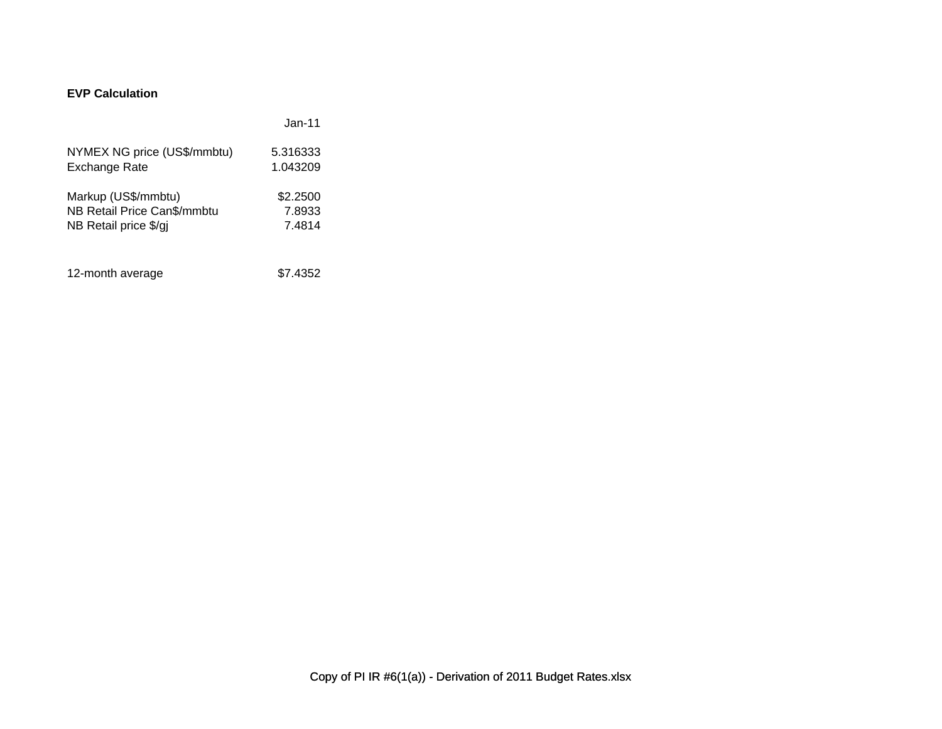## **EVP Calculation**

|                             | .Jan-11  |
|-----------------------------|----------|
| NYMEX NG price (US\$/mmbtu) | 5.316333 |
| Exchange Rate               | 1.043209 |
| Markup (US\$/mmbtu)         | \$2,2500 |
| NB Retail Price Can\$/mmbtu | 7.8933   |
| NB Retail price \$/gi       | 7.4814   |
| 12-month average            | \$7.4352 |